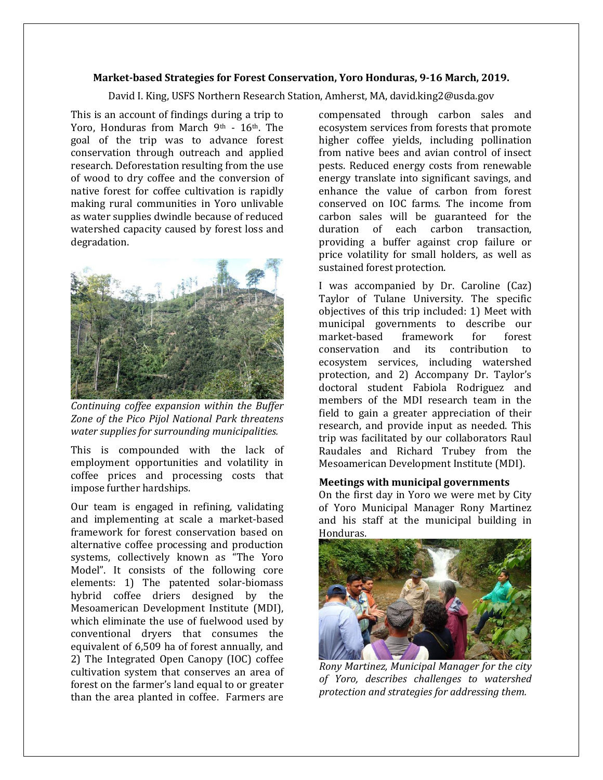# **Market-based Strategies for Forest Conservation, Yoro Honduras, 9-16 March, 2019.**

David I. King, USFS Northern Research Station, Amherst, MA, david.king2@usda.gov

This is an account of findings during a trip to Yoro, Honduras from March 9th - 16th. The goal of the trip was to advance forest conservation through outreach and applied research. Deforestation resulting from the use of wood to dry coffee and the conversion of native forest for coffee cultivation is rapidly making rural communities in Yoro unlivable as water supplies dwindle because of reduced watershed capacity caused by forest loss and degradation.



*Continuing coffee expansion within the Buffer Zone of the Pico Pijol National Park threatens water supplies for surrounding municipalities.*

This is compounded with the lack of employment opportunities and volatility in coffee prices and processing costs that impose further hardships.

Our team is engaged in refining, validating and implementing at scale a market-based framework for forest conservation based on alternative coffee processing and production systems, collectively known as "The Yoro Model". It consists of the following core elements: 1) The patented solar-biomass hybrid coffee driers designed by the Mesoamerican Development Institute (MDI), which eliminate the use of fuelwood used by conventional dryers that consumes the equivalent of 6,509 ha of forest annually, and 2) The Integrated Open Canopy (IOC) coffee cultivation system that conserves an area of forest on the farmer's land equal to or greater than the area planted in coffee. Farmers are compensated through carbon sales and ecosystem services from forests that promote higher coffee yields, including pollination from native bees and avian control of insect pests. Reduced energy costs from renewable energy translate into significant savings, and enhance the value of carbon from forest conserved on IOC farms. The income from carbon sales will be guaranteed for the duration of each carbon transaction, providing a buffer against crop failure or price volatility for small holders, as well as sustained forest protection.

I was accompanied by Dr. Caroline (Caz) Taylor of Tulane University. The specific objectives of this trip included: 1) Meet with municipal governments to describe our market-based framework for forest conservation and its contribution to ecosystem services, including watershed protection, and 2) Accompany Dr. Taylor's doctoral student Fabiola Rodriguez and members of the MDI research team in the field to gain a greater appreciation of their research, and provide input as needed. This trip was facilitated by our collaborators Raul Raudales and Richard Trubey from the Mesoamerican Development Institute (MDI).

## **Meetings with municipal governments**

On the first day in Yoro we were met by City of Yoro Municipal Manager Rony Martinez and his staff at the municipal building in Honduras.



*Rony Martinez, Municipal Manager for the city of Yoro, describes challenges to watershed protection and strategies for addressing them.*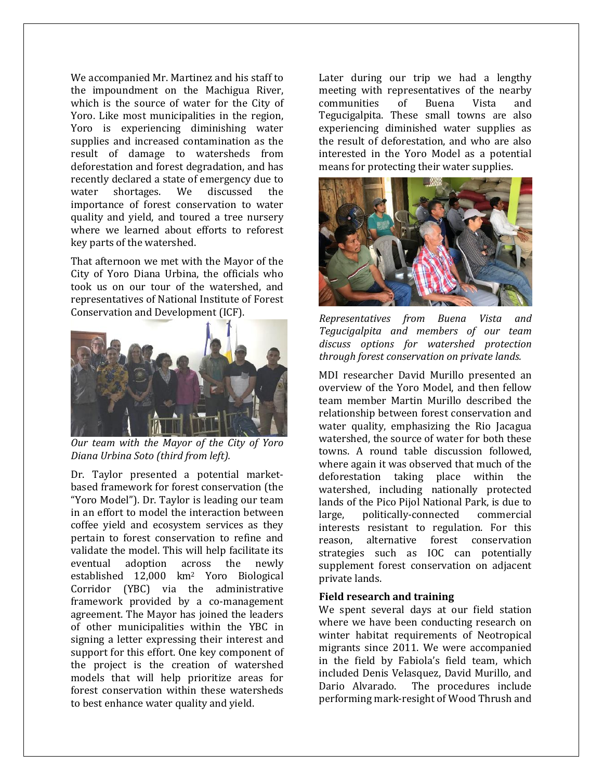We accompanied Mr. Martinez and his staff to the impoundment on the Machigua River, which is the source of water for the City of Yoro. Like most municipalities in the region, Yoro is experiencing diminishing water supplies and increased contamination as the result of damage to watersheds from deforestation and forest degradation, and has recently declared a state of emergency due to water shortages. We discussed the importance of forest conservation to water quality and yield, and toured a tree nursery where we learned about efforts to reforest key parts of the watershed.

That afternoon we met with the Mayor of the City of Yoro Diana Urbina, the officials who took us on our tour of the watershed, and representatives of National Institute of Forest Conservation and Development (ICF).



*Our team with the Mayor of the City of Yoro Diana Urbina Soto (third from left).*

Dr. Taylor presented a potential marketbased framework for forest conservation (the "Yoro Model"). Dr. Taylor is leading our team in an effort to model the interaction between coffee yield and ecosystem services as they pertain to forest conservation to refine and validate the model. This will help facilitate its eventual adoption across the newly established 12,000 km<sup>2</sup> Yoro Biological Corridor (YBC) via the administrative framework provided by a co-management agreement. The Mayor has joined the leaders of other municipalities within the YBC in signing a letter expressing their interest and support for this effort. One key component of the project is the creation of watershed models that will help prioritize areas for forest conservation within these watersheds to best enhance water quality and yield.

Later during our trip we had a lengthy meeting with representatives of the nearby communities of Buena Vista and Tegucigalpita. These small towns are also experiencing diminished water supplies as the result of deforestation, and who are also interested in the Yoro Model as a potential means for protecting their water supplies.



*Representatives from Buena Vista and Tegucigalpita and members of our team discuss options for watershed protection through forest conservation on private lands.* 

MDI researcher David Murillo presented an overview of the Yoro Model, and then fellow team member Martin Murillo described the relationship between forest conservation and water quality, emphasizing the Rio Jacagua watershed, the source of water for both these towns. A round table discussion followed, where again it was observed that much of the deforestation taking place within the watershed, including nationally protected lands of the Pico Pijol National Park, is due to large, politically-connected commercial interests resistant to regulation. For this reason, alternative forest conservation strategies such as IOC can potentially supplement forest conservation on adjacent private lands.

# **Field research and training**

We spent several days at our field station where we have been conducting research on winter habitat requirements of Neotropical migrants since 2011. We were accompanied in the field by Fabiola's field team, which included Denis Velasquez, David Murillo, and Dario Alvarado. The procedures include performing mark-resight of Wood Thrush and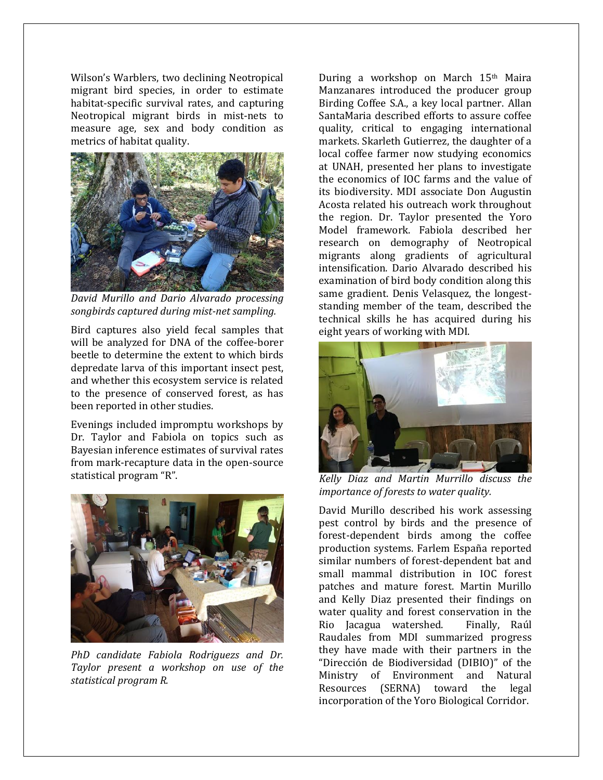Wilson's Warblers, two declining Neotropical migrant bird species, in order to estimate habitat-specific survival rates, and capturing Neotropical migrant birds in mist-nets to measure age, sex and body condition as metrics of habitat quality.



*David Murillo and Dario Alvarado processing songbirds captured during mist-net sampling.*

Bird captures also yield fecal samples that will be analyzed for DNA of the coffee-borer beetle to determine the extent to which birds depredate larva of this important insect pest, and whether this ecosystem service is related to the presence of conserved forest, as has been reported in other studies.

Evenings included impromptu workshops by Dr. Taylor and Fabiola on topics such as Bayesian inference estimates of survival rates from mark-recapture data in the open-source statistical program "R".



*PhD candidate Fabiola Rodriguezs and Dr. Taylor present a workshop on use of the statistical program R.*

During a workshop on March 15th Maira Manzanares introduced the producer group Birding Coffee S.A., a key local partner. Allan SantaMaria described efforts to assure coffee quality, critical to engaging international markets. Skarleth Gutierrez, the daughter of a local coffee farmer now studying economics at UNAH, presented her plans to investigate the economics of IOC farms and the value of its biodiversity. MDI associate Don Augustin Acosta related his outreach work throughout the region. Dr. Taylor presented the Yoro Model framework. Fabiola described her research on demography of Neotropical migrants along gradients of agricultural intensification. Dario Alvarado described his examination of bird body condition along this same gradient. Denis Velasquez, the longeststanding member of the team, described the technical skills he has acquired during his eight years of working with MDI.



*Kelly Diaz and Martin Murrillo discuss the importance of forests to water quality.*

David Murillo described his work assessing pest control by birds and the presence of forest-dependent birds among the coffee production systems. Farlem España reported similar numbers of forest-dependent bat and small mammal distribution in IOC forest patches and mature forest. Martin Murillo and Kelly Diaz presented their findings on water quality and forest conservation in the Rio Jacagua watershed. Finally, Raúl Raudales from MDI summarized progress they have made with their partners in the "Dirección de Biodiversidad (DIBIO)" of the Ministry of Environment and Natural Resources (SERNA) toward the legal incorporation of the Yoro Biological Corridor.